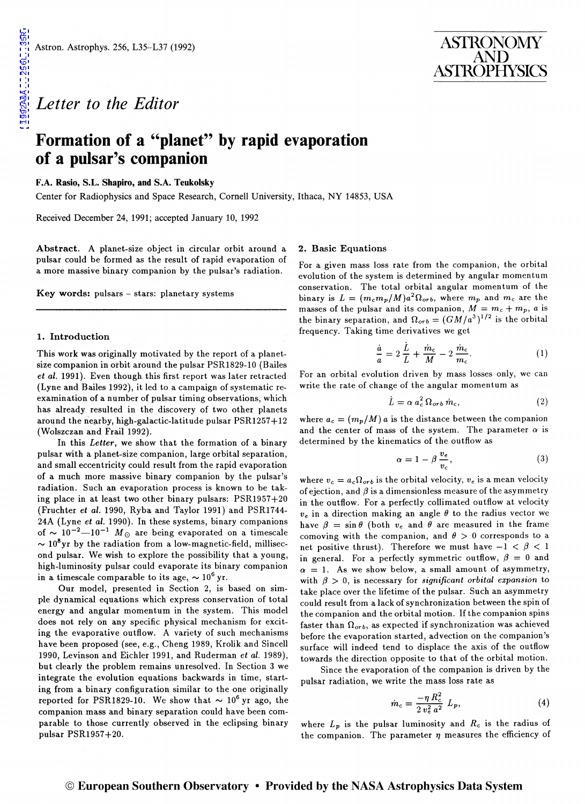# *Letter to the Editor*

## **Formation of a "planet" by rapid evaporation of a pulsar's companion**

## F.A. Rasio, S.L. Shapiro, and S.A. Teukolsky

Center for Radiophysics and Space Research, Cornell University, Ithaca, NY 14853, USA

Received December 24, 1991; accepted January 10, 1992

Abstract. A planet-size object in circular orbit around a pulsar could be formed as the result of rapid evaporation of a more massive binary companion by the pulsar's radiation.

Key words: pulsars - stars: planetary systems

#### 1. Introduction

This work was originally motivated by the report of a planetsize companion in orbit around the pulsar PSR1829-10 (Bailes *et al.* 1991). Even though this first report was later retracted (Lyne and Bailes 1992), it led to a campaign of systematic reexamination of a number of pulsar timing observations, which has already resulted in the discovery of two other planets around the nearby, high-galactic-latitude pulsar  $PSR1257+12$ (Wolszczan and Frail 1992).

In this *Letter,* we show that the formation of a binary pulsar with a planet-size companion, large orbital separation, and small eccentricity could result from the rapid evaporation of a much more massive binary companion by the pulsar's radiation. Such an evaporation process is known to be taking place in at least two other binary pulsars: PSR1957+20 (Fruchter *et al.* 1990, Ryba and Taylor 1991) and PSR1744- 24A (Lyne *et al.* 1990). In these systems, binary companions of  $\sim 10^{-2} - 10^{-1}$  M<sub>o</sub> are being evaporated on a timescale  $\sim 10^8$ yr by the radiation from a low-magnetic-field, millisecond pulsar. We wish to explore the possibility that a young, high-luminosity pulsar could evaporate its binary companion in a timescale comparable to its age,  $\sim 10^6$  yr.

Our model, presented in Section 2, is based on simple dynamical equations which express conservation of total energy and angular momentum in the system. This model does not rely on any specific physical mechanism for exciting the evaporative outflow. A variety of such mechanisms have been proposed (see, e.g., Cheng 1989, Krolik and Sincell 1990, Levinson and Eichler 1991, and Ruderman *et al.* 1989), but clearly the problem remains unresolved. In Section 3 we integrate the evolution equations backwards in time, starting from a binary configuration similar to the one originally reported for PSR1829-10. We show that  $\sim 10^6$  yr ago, the companion mass and binary separation could have been comparable to those currently observed in the eclipsing binary pulsar PSR1957+20.

#### 2. Basic Equations

For a given mass loss rate from the companion, the orbital evolution of the system is determined by angular momentum conservation. The total orbital angular momentum of the binary is  $L = (m_c m_p/M)a^2 \Omega_{orb}$ , where  $m_p$  and  $m_c$  are the masses of the pulsar and its companion,  $M = m_c + m_p$ , a is the binary separation, and  $\Omega_{orb} = (GM/a^3)^{1/2}$  is the orbital frequency. Taking time derivatives we get

$$
\frac{\dot{a}}{a} = 2\frac{\dot{L}}{L} + \frac{\dot{m}_c}{M} - 2\frac{\dot{m}_c}{m_c}.
$$
 (1)

For an orbital evolution driven by mass losses only, we can write the rate of change of the angular momentum as

$$
\dot{L} = \alpha \, a_c^2 \, \Omega_{orb} \, \dot{m}_c,\tag{2}
$$

where  $a_c = (m_p/M) a$  is the distance between the companion and the center of mass of the system. The parameter  $\alpha$  is determined by the kinematics of the outflow as

$$
\alpha = 1 - \beta \, \frac{v_e}{v_c},\tag{3}
$$

where  $v_c = a_c \Omega_{orb}$  is the orbital velocity,  $v_e$  is a mean velocity of ejection, and  $\beta$  is a dimensionless measure of the asymmetry in the outflow. For a perfectly collimated outflow at velocity  $v_e$  in a direction making an angle  $\theta$  to the radius vector we have  $\beta = \sin \theta$  (both  $v_e$  and  $\theta$  are measured in the frame comoving with the companion, and  $\theta > 0$  corresponds to a net positive thrust). Therefore we must have  $-1 < \beta < 1$ in general. For a perfectly symmetric outflow,  $\beta = 0$  and  $\alpha = 1$ . As we show below, a small amount of asymmetry, with  $\beta > 0$ , is necessary for *significant orbital expansion* to take place over the lifetime of the pulsar. Such an asymmetry could result from a lack of synchronization between the spin of the companion and the orbital motion. If the companion spins faster than  $\Omega_{orb}$ , as expected if synchronization was achieved before the evaporation started, advection on the companion's surface will indeed tend to displace the axis of the outflow towards the direction opposite to that of the orbital motion.

Since the evaporation of the companion is driven by the pulsar radiation, we write the mass loss rate as

$$
\dot{m}_c = \frac{-\eta R_c^2}{2 v_e^2 a^2} L_p, \tag{4}
$$

where  $L_p$  is the pulsar luminosity and  $R_c$  is the radius of the companion. The parameter  $\eta$  measures the efficiency of

### © European Southern Observatory • Provided by the NASA Astrophysics Data System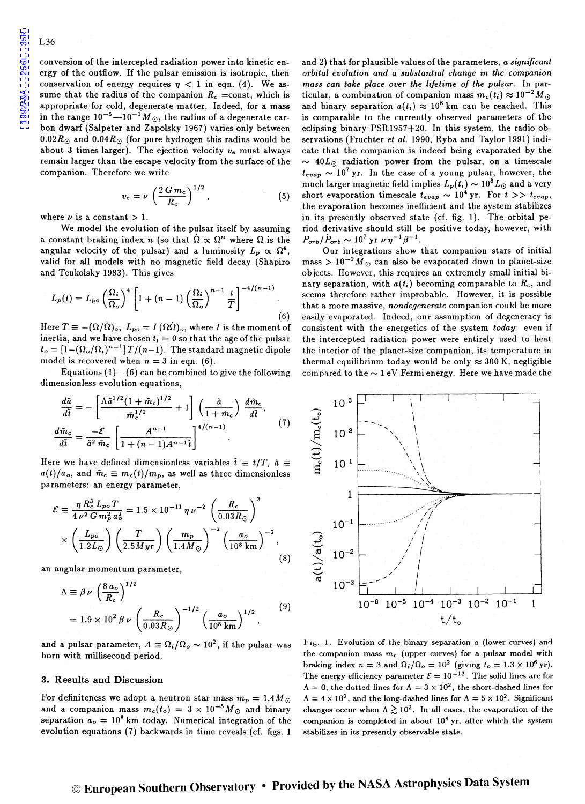conversion of the intercepted radiation power into kinetic energy of the outflow. If the pulsar emission is isotropic, then conservation of energy requires  $\eta$  < 1 in eqn. (4). We assume that the radius of the companion  $R_c$  =const, which is appropriate for cold, degenerate matter. Indeed, for a mass in the range  $10^{-5}$ — $10^{-1}$  M<sub>o</sub>, the radius of a degenerate carbon dwarf (Salpeter and Zapolsky 1967) varies only between 0.02 $R_{\odot}$  and 0.04 $R_{\odot}$  (for pure hydrogen this radius would be about 3 times larger). The ejection velocity *Ve* must always remain larger than the escape velocity from the surface of the companion. Therefore we write

$$
v_e = \nu \left(\frac{2\,G\,m_c}{R_c}\right)^{1/2},\tag{5}
$$

where  $\nu$  is a constant  $> 1$ .

We model the evolution of the pulsar itself by assuming a constant braking index *n* (so that  $\dot{\Omega} \propto \Omega^n$  where  $\Omega$  is the angular velocity of the pulsar) and a luminosity  $L_p \propto \Omega^4$ , valid for all models with no magnetic field decay (Shapiro and Teukolsky 1983). This gives

$$
L_p(t) = L_{p\circ} \left(\frac{\Omega_i}{\Omega_o}\right)^4 \left[1 + (n-1) \left(\frac{\Omega_i}{\Omega_o}\right)^{n-1} \frac{t}{T}\right]^{-4/(n-1)}.
$$
\n(6)

Here  $T \equiv -(\Omega/\Omega)_{\rm o}$ ,  $L_{po} = I(\Omega\dot{\Omega})_{\rm o}$ , where *I* is the moment of inertia, and we have chosen  $t_i = 0$  so that the age of the pulsar  $t_o = [1 - (\Omega_o/\Omega_i)^{n-1}] T/(n-1)$ . The standard magnetic dipole model is recovered when  $n = 3$  in eqn. (6).

Equations  $(1)$ -(6) can be combined to give the following dimensionless evolution equations,

$$
\frac{d\tilde{a}}{d\tilde{t}} = -\left[\frac{\Lambda \tilde{a}^{1/2} (1 + \tilde{m}_c)^{1/2}}{\tilde{m}_c^{1/2}} + 1\right] \left(\frac{\tilde{a}}{1 + \tilde{m}_c}\right) \frac{d\tilde{m}_c}{d\tilde{t}},
$$
\n
$$
\frac{d\tilde{m}_c}{d\tilde{t}} = \frac{-\mathcal{E}}{\tilde{a}^2 \tilde{m}_c} \left[\frac{A^{n-1}}{1 + (n-1)A^{n-1}\tilde{t}}\right]^{4/(n-1)}.
$$
\n(7)

Here we have defined dimensionless variables  $\tilde{t} \equiv t/T$ ,  $\tilde{a} \equiv$  $a(t)/a_o$ , and  $\tilde{m}_c \equiv m_c(t)/m_p$ , as well as three dimensionless parameters: an energy parameter,

$$
\mathcal{E} \equiv \frac{\eta R_c^3 L_{po} T}{4 \nu^2 G m_p^2 a_o^2} = 1.5 \times 10^{-11} \eta \nu^{-2} \left(\frac{R_c}{0.03 R_\odot}\right)^3
$$

$$
\times \left(\frac{L_{po}}{1.2 L_\odot}\right) \left(\frac{T}{2.5 Myr}\right) \left(\frac{m_p}{1.4 M_\odot}\right)^{-2} \left(\frac{a_o}{10^8 \text{ km}}\right)^{-2},\tag{8}
$$

an angular momentum parameter,

$$
\Lambda \equiv \beta \nu \left(\frac{8 a_o}{R_c}\right)^{1/2}
$$
  
= 1.9 × 10<sup>2</sup> βν  $\left(\frac{R_c}{0.03 R_o}\right)^{-1/2} \left(\frac{a_o}{10^8 \text{ km}}\right)^{1/2},$  (9)

and a pulsar parameter,  $A \equiv \Omega_i/\Omega_o \sim 10^2$ , if the pulsar was born with millisecond period.

#### 3. Results and Discussion

For definiteness we adopt a neutron star mass  $m_p = 1.4 M_{\odot}$ and a companion mass  $m_c(t_o) = 3 \times 10^{-5} M_{\odot}$  and binary separation  $a_o = 10^8$  km today. Numerical integration of the evolution equations (7) backwards in time reveals (cf. figs. 1

and 2) that for plausible values of the parameters, *a significant orbital evolution and a substantial change* in *the companion mass can take place over the lifetime of the pulsar.* In particular, a combination of companion mass  $m_c(t_i) \approx 10^{-2} M_{\odot}$ and binary separation  $a(t_i) \approx 10^6$  km can be reached. This is comparable to the currently observed parameters of the eclipsing binary PSR1957+20. In this system, the radio observations (Fruchter *et al.* 1990, Ryba and Taylor 1991) indicate that the companion is indeed being evaporated by the  $\sim$  40 $L_{\odot}$  radiation power from the pulsar, on a timescale  $t_{evap} \sim 10^7$  yr. In the case of a young pulsar, however, the much larger magnetic field implies  $L_p(t_i) \sim 10^8 L_{\odot}$  and a very short evaporation timescale  $t_{evap} \sim 10^4$  yr. For  $t >> t_{evap}$ , the evaporation becomes inefficient and the system stabilizes in its presently observed state (cf. fig. 1). The orbital period derivative should still be positive today, however, with  $P_{orb}/\dot{P}_{orb} \sim 10^7 \text{ yr } \nu \eta^{-1} \beta^{-1}.$ 

Our integrations show that companion stars of initial mass  $> 10^{-2} M_{\odot}$  can also be evaporated down to planet-size objects. However, this requires an extremely small initial binary separation, with *a(t;)* becoming comparable to *Re,* and seems therefore rather improbable. However, it is possible that a more massive, *nondegenerate* companion could be more easily evaporated. Indeed, our assumption of degeneracy is consistent with the energetics of the system *today:* even if the intercepted radiation power were entirely used to heat the interior of the planet-size companion, its temperature in thermal equilibrium today would be only  $\approx 300$  K, negligible compared to the  $\sim 1$  eV Fermi energy. Here we have made the



} 'b· 1. Evolution of the binary separation *a* (lower curves) and the companion mass  $m_c$  (upper curves) for a pulsar model with braking index  $n = 3$  and  $\Omega_i/\Omega_o = 10^2$  (giving  $t_o = 1.3 \times 10^6$  yr). The energy efficiency parameter  $\mathcal{E} = 10^{-13}$ . The solid lines are for  $\Lambda = 0$ , the dotted lines for  $\Lambda = 3 \times 10^2$ , the short-dashed lines for  $\Lambda = 4 \times 10^2$ , and the long-dashed lines for  $\Lambda = 5 \times 10^2$ . Significant changes occur when  $\Lambda \gtrsim 10^2$ . In all cases, the evaporation of the companion is completed in about  $10<sup>4</sup>$  yr, after which the system stabilizes in its presently observable state.

# © European Southern Observatory • Provided by the NASA Astrophysics Data System